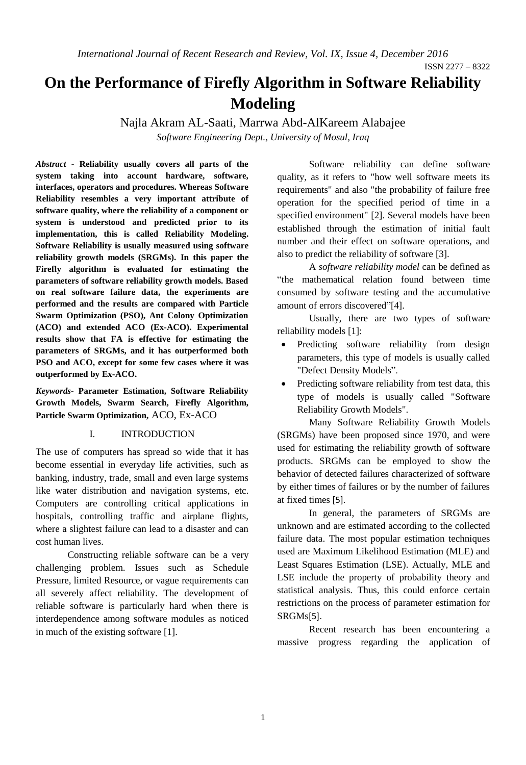ISSN 2277 – 8322

# **On the Performance of Firefly Algorithm in Software Reliability Modeling**

Najla Akram AL-Saati, Marrwa Abd-AlKareem Alabajee *Software Engineering Dept., University of Mosul, Iraq*

*Abstract -* **Reliability usually covers all parts of the system taking into account hardware, software, interfaces, operators and procedures. Whereas Software Reliability resembles a very important attribute of software quality, where the reliability of a component or system is understood and predicted prior to its implementation, this is called Reliability Modeling. Software Reliability is usually measured using software reliability growth models (SRGMs). In this paper the Firefly algorithm is evaluated for estimating the parameters of software reliability growth models. Based on real software failure data, the experiments are performed and the results are compared with Particle Swarm Optimization (PSO), Ant Colony Optimization (ACO) and extended ACO (Ex-ACO). Experimental results show that FA is effective for estimating the parameters of SRGMs, and it has outperformed both PSO and ACO, except for some few cases where it was outperformed by Ex-ACO.** 

*Keywords-* **Parameter Estimation, Software Reliability Growth Models, Swarm Search, Firefly Algorithm, Particle Swarm Optimization,** ACO, Ex-ACO

## I. INTRODUCTION

The use of computers has spread so wide that it has become essential in everyday life activities, such as banking, industry, trade, small and even large systems like water distribution and navigation systems, etc. Computers are controlling critical applications in hospitals, controlling traffic and airplane flights, where a slightest failure can lead to a disaster and can cost human lives.

Constructing reliable software can be a very challenging problem. Issues such as Schedule Pressure, limited Resource, or vague requirements can all severely affect reliability. The development of reliable software is particularly hard when there is interdependence among software modules as noticed in much of the existing software [1].

Software reliability can define software quality, as it refers to "how well software meets its requirements" and also "the probability of failure free operation for the specified period of time in a specified environment" [2]. Several models have been established through the estimation of initial fault number and their effect on software operations, and also to predict the reliability of software [3].

A *software reliability model* can be defined as "the mathematical relation found between time consumed by software testing and the accumulative amount of errors discovered"[4].

Usually, there are two types of software reliability models [1]:

- Predicting software reliability from design parameters*,* this type of models is usually called "Defect Density Models".
- Predicting software reliability from test data, this type of models is usually called "Software Reliability Growth Models".

Many Software Reliability Growth Models (SRGMs) have been proposed since 1970, and were used for estimating the reliability growth of software products. SRGMs can be employed to show the behavior of detected failures characterized of software by either times of failures or by the number of failures at fixed times [5].

In general, the parameters of SRGMs are unknown and are estimated according to the collected failure data. The most popular estimation techniques used are Maximum Likelihood Estimation (MLE) and Least Squares Estimation (LSE). Actually, MLE and LSE include the property of probability theory and statistical analysis. Thus, this could enforce certain restrictions on the process of parameter estimation for SRGMs[5].

Recent research has been encountering a massive progress regarding the application of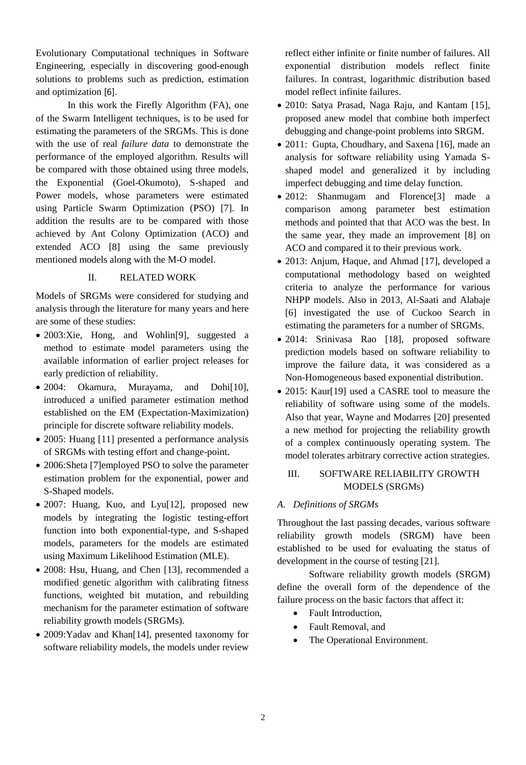Evolutionary Computational techniques in Software Engineering, especially in discovering good-enough solutions to problems such as prediction, estimation and optimization [6].

In this work the Firefly Algorithm (FA), one of the Swarm Intelligent techniques, is to be used for estimating the parameters of the SRGMs. This is done with the use of real *failure data* to demonstrate the performance of the employed algorithm. Results will be compared with those obtained using three models, the Exponential (Goel-Okumoto), S-shaped and Power models, whose parameters were estimated using Particle Swarm Optimization (PSO) [7]. In addition the results are to be compared with those achieved by Ant Colony Optimization (ACO) and extended ACO [8] using the same previously mentioned models along with the M-O model.

## II. RELATED WORK

Models of SRGMs were considered for studying and analysis through the literature for many years and here are some of these studies:

- 2003:Xie, Hong, and Wohlin<sup>[9]</sup>, suggested a method to estimate model parameters using the available information of earlier project releases for early prediction of reliability.
- 2004: Okamura, Murayama, and Dohi $[10]$ , introduced a unified parameter estimation method established on the EM (Expectation-Maximization) principle for discrete software reliability models.
- 2005: Huang [11] presented a performance analysis of SRGMs with testing effort and change-point.
- 2006:Sheta [7]employed PSO to solve the parameter estimation problem for the exponential, power and S-Shaped models.
- 2007: Huang, Kuo, and Lyu[12], proposed new models by integrating the logistic testing-effort function into both exponential-type, and S-shaped models, parameters for the models are estimated using Maximum Likelihood Estimation (MLE).
- 2008: Hsu, Huang, and Chen [13], recommended a modified genetic algorithm with calibrating fitness functions, weighted bit mutation, and rebuilding mechanism for the parameter estimation of software reliability growth models (SRGMs).
- 2009:Yadav and Khan[14], presented taxonomy for software reliability models, the models under review

reflect either infinite or finite number of failures. All exponential distribution models reflect finite failures. In contrast, logarithmic distribution based model reflect infinite failures.

- 2010: Satya Prasad, Naga Raju, and Kantam [15], proposed anew model that combine both imperfect debugging and change-point problems into SRGM.
- 2011: Gupta, Choudhary, and Saxena [16], made an analysis for software reliability using Yamada Sshaped model and generalized it by including imperfect debugging and time delay function.
- 2012: Shanmugam and Florence<sup>[3]</sup> made a comparison among parameter best estimation methods and pointed that that ACO was the best. In the same year, they made an improvement [8] on ACO and compared it to their previous work.
- 2013: Anjum, Haque, and Ahmad [17], developed a computational methodology based on weighted criteria to analyze the performance for various NHPP models. Also in 2013, Al-Saati and Alabaje [6] investigated the use of Cuckoo Search in estimating the parameters for a number of SRGMs.
- 2014: Srinivasa Rao [18], proposed software prediction models based on software reliability to improve the failure data, it was considered as a Non-Homogeneous based exponential distribution.
- 2015: Kaur[19] used a CASRE tool to measure the reliability of software using some of the models. Also that year, Wayne and Modarres [20] presented a new method for projecting the reliability growth of a complex continuously operating system. The model tolerates arbitrary corrective action strategies.

## III. SOFTWARE RELIABILITY GROWTH MODELS (SRGMs)

# *A. Definitions of SRGMs*

Throughout the last passing decades, various software reliability growth models (SRGM) have been established to be used for evaluating the status of development in the course of testing [21].

Software reliability growth models (SRGM) define the overall form of the dependence of the failure process on the basic factors that affect it:

- Fault Introduction,
- Fault Removal, and
- The Operational Environment.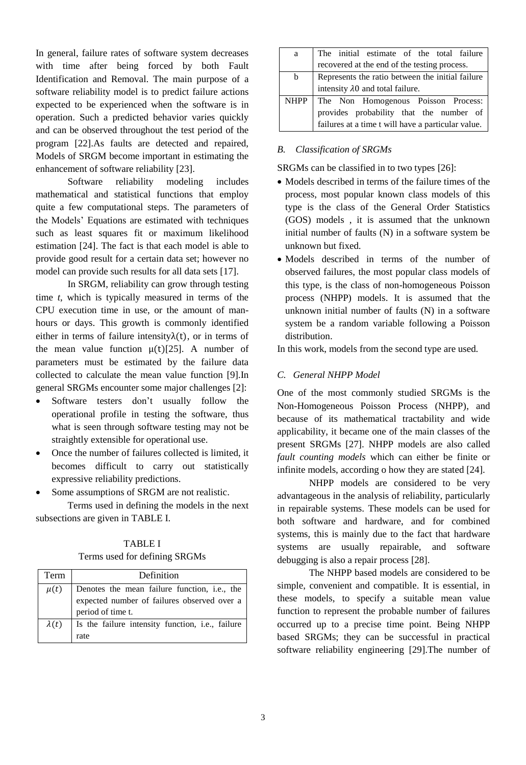In general, failure rates of software system decreases with time after being forced by both Fault Identification and Removal. The main purpose of a software reliability model is to predict failure actions expected to be experienced when the software is in operation. Such a predicted behavior varies quickly and can be observed throughout the test period of the program [22].As faults are detected and repaired, Models of SRGM become important in estimating the enhancement of software reliability [23].

Software reliability modeling includes mathematical and statistical functions that employ quite a few computational steps. The parameters of the Models' Equations are estimated with techniques such as least squares fit or maximum likelihood estimation [24]. The fact is that each model is able to provide good result for a certain data set; however no model can provide such results for all data sets [17].

In SRGM, reliability can grow through testing time *t*, which is typically measured in terms of the CPU execution time in use, or the amount of manhours or days. This growth is commonly identified either in terms of failure intensity $\lambda(t)$ , or in terms of the mean value function  $\mu(t)$ [25]. A number of parameters must be estimated by the failure data collected to calculate the mean value function [9].In general SRGMs encounter some major challenges [2]:

- Software testers don't usually follow the operational profile in testing the software, thus what is seen through software testing may not be straightly extensible for operational use.
- Once the number of failures collected is limited, it becomes difficult to carry out statistically expressive reliability predictions.
- Some assumptions of SRGM are not realistic.

Terms used in defining the models in the next subsections are given in TABLE I.

| FULLIS USED TOT DETITING SINUMES |                                                                                                                  |  |  |
|----------------------------------|------------------------------------------------------------------------------------------------------------------|--|--|
| Term                             | Definition                                                                                                       |  |  |
| $\mu(t)$                         | Denotes the mean failure function, i.e., the<br>expected number of failures observed over a<br>period of time t. |  |  |
| $\lambda(t)$                     | Is the failure intensity function, i.e., failure<br>rate                                                         |  |  |

|  | <b>TABLE I</b>                |  |
|--|-------------------------------|--|
|  | Terms used for defining SRGMs |  |

| a | The initial estimate of the total failure          |  |  |
|---|----------------------------------------------------|--|--|
|   | recovered at the end of the testing process.       |  |  |
| b | Represents the ratio between the initial failure   |  |  |
|   | intensity $\lambda$ 0 and total failure.           |  |  |
|   | NHPP   The Non Homogenous Poisson Process:         |  |  |
|   | provides probability that the number of            |  |  |
|   | failures at a time t will have a particular value. |  |  |

## *B. Classification of SRGMs*

SRGMs can be classified in to two types [26]:

- Models described in terms of the failure times of the process, most popular known class models of this type is the class of the General Order Statistics (GOS) models , it is assumed that the unknown initial number of faults (N) in a software system be unknown but fixed.
- Models described in terms of the number of observed failures, the most popular class models of this type, is the class of non-homogeneous Poisson process (NHPP) models. It is assumed that the unknown initial number of faults (N) in a software system be a random variable following a Poisson distribution.

In this work, models from the second type are used.

## *C. General NHPP Model*

One of the most commonly studied SRGMs is the Non-Homogeneous Poisson Process (NHPP), and because of its mathematical tractability and wide applicability, it became one of the main classes of the present SRGMs [27]. NHPP models are also called *fault counting models* which can either be finite or infinite models, according o how they are stated [24].

NHPP models are considered to be very advantageous in the analysis of reliability, particularly in repairable systems. These models can be used for both software and hardware, and for combined systems, this is mainly due to the fact that hardware systems are usually repairable, and software debugging is also a repair process [28].

The NHPP based models are considered to be simple, convenient and compatible. It is essential, in these models, to specify a suitable mean value function to represent the probable number of failures occurred up to a precise time point. Being NHPP based SRGMs; they can be successful in practical software reliability engineering [29].The number of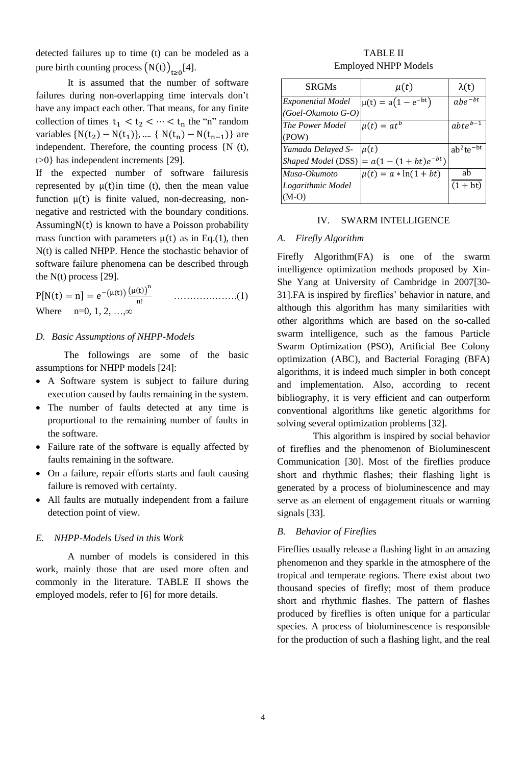detected failures up to time (t) can be modeled as a pure birth counting process  $(N(t))_{t\geq0}[4]$ .

It is assumed that the number of software failures during non-overlapping time intervals don't have any impact each other. That means, for any finite collection of times  $t_1 < t_2 < \cdots < t_n$  the "n" random variables { $N(t_2) - N(t_1)$ }, .... {  $N(t_n) - N(t_{n-1})$ } are independent. Therefore, the counting process {N (t), t>0} has independent increments [29].

If the expected number of software failuresis represented by  $\mu(t)$ in time (t), then the mean value function  $\mu(t)$  is finite valued, non-decreasing, nonnegative and restricted with the boundary conditions. Assuming $N(t)$  is known to have a Poisson probability mass function with parameters  $\mu(t)$  as in Eq.(1), then N(t) is called NHPP. Hence the stochastic behavior of software failure phenomena can be described through the N(t) process [29].

 $P[N(t) = n] = e^{-(\mu(t))} \frac{(\mu(t))^n}{n!}$ n! ………….…….(1) Where  $n=0, 1, 2, \ldots \infty$ 

## *D. Basic Assumptions of NHPP-Models*

The followings are some of the basic assumptions for NHPP models [24]:

- A Software system is subject to failure during execution caused by faults remaining in the system.
- The number of faults detected at any time is proportional to the remaining number of faults in the software.
- Failure rate of the software is equally affected by faults remaining in the software.
- On a failure, repair efforts starts and fault causing failure is removed with certainty.
- All faults are mutually independent from a failure detection point of view.

#### *E. NHPP-Models Used in this Work*

A number of models is considered in this work, mainly those that are used more often and commonly in the literature. TABLE II shows the employed models, refer to [6] for more details.

### TABLE II Employed NHPP Models

| <b>SRGMs</b>             | $\mu(t)$                  | $\lambda(t)$   |
|--------------------------|---------------------------|----------------|
| <i>Exponential Model</i> | $\mu(t) = a(1 - e^{-bt})$ | $abe^{-bt}$    |
| (Goel-Okumoto G-O)       |                           |                |
| The Power Model          | $\mu(t) = at^b$           | $abte^{b-1}$   |
| (POW)                    |                           |                |
| Yamada Delayed S-        | $\mu(t)$                  | $ab^2te^{-bt}$ |
| Shaped Model (DSS)       | $= a(1-(1+bt)e^{-bt})$    |                |
| Musa-Okumoto             | $\mu(t) = a * ln(1 + bt)$ | ab             |
| Logarithmic Model        |                           | $(1 + bt)$     |
| $(M-O)$                  |                           |                |

#### IV. SWARM INTELLIGENCE

#### *A. Firefly Algorithm*

Firefly Algorithm(FA) is one of the swarm intelligence optimization methods proposed by Xin-She Yang at University of Cambridge in 2007[30- 31].FA is inspired by fireflies' behavior in nature, and although this algorithm has many similarities with other algorithms which are based on the so-called swarm intelligence, such as the famous Particle Swarm Optimization (PSO), Artificial Bee Colony optimization (ABC), and Bacterial Foraging (BFA) algorithms, it is indeed much simpler in both concept and implementation. Also, according to recent bibliography, it is very efficient and can outperform conventional algorithms like genetic algorithms for solving several optimization problems [32].

This algorithm is inspired by social behavior of fireflies and the phenomenon of Bioluminescent Communication [30]. Most of the fireflies produce short and rhythmic flashes; their flashing light is generated by a process of bioluminescence and may serve as an element of engagement rituals or warning signals [33].

### *B. Behavior of Fireflies*

Fireflies usually release a flashing light in an amazing phenomenon and they sparkle in the atmosphere of the tropical and temperate regions. There exist about two thousand species of firefly; most of them produce short and rhythmic flashes. The pattern of flashes produced by fireflies is often unique for a particular species. A process of bioluminescence is responsible for the production of such a flashing light, and the real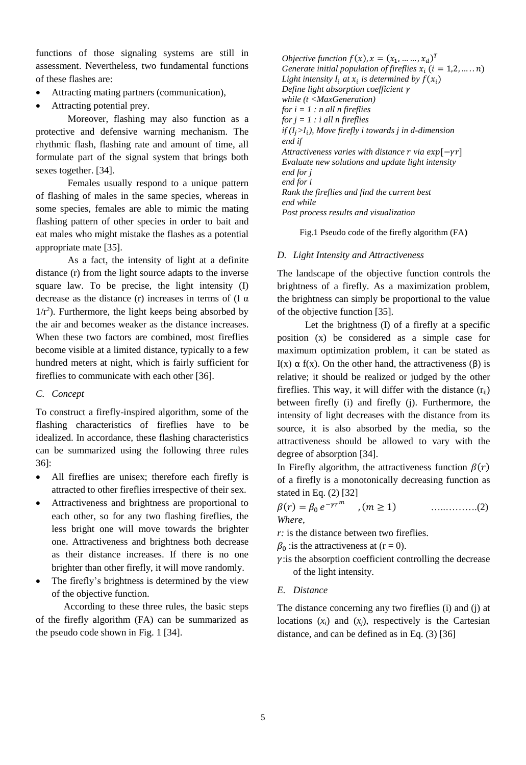functions of those signaling systems are still in assessment. Nevertheless, two fundamental functions of these flashes are:

- Attracting mating partners (communication),
- Attracting potential prey.

Moreover, flashing may also function as a protective and defensive warning mechanism. The rhythmic flash, flashing rate and amount of time, all formulate part of the signal system that brings both sexes together. [34].

Females usually respond to a unique pattern of flashing of males in the same species, whereas in some species, females are able to mimic the mating flashing pattern of other species in order to bait and eat males who might mistake the flashes as a potential appropriate mate [35].

As a fact, the intensity of light at a definite distance (r) from the light source adapts to the inverse square law. To be precise, the light intensity (I) decrease as the distance (r) increases in terms of (I  $\alpha$ )  $1/r<sup>2</sup>$ ). Furthermore, the light keeps being absorbed by the air and becomes weaker as the distance increases. When these two factors are combined, most fireflies become visible at a limited distance, typically to a few hundred meters at night, which is fairly sufficient for fireflies to communicate with each other [36].

## *C. Concept*

To construct a firefly-inspired algorithm, some of the flashing characteristics of fireflies have to be idealized. In accordance, these flashing characteristics can be summarized using the following three rules 36]:

- All fireflies are unisex; therefore each firefly is attracted to other fireflies irrespective of their sex.
- Attractiveness and brightness are proportional to each other, so for any two flashing fireflies, the less bright one will move towards the brighter one. Attractiveness and brightness both decrease as their distance increases. If there is no one brighter than other firefly, it will move randomly.
- The firefly's brightness is determined by the view of the objective function.

According to these three rules, the basic steps of the firefly algorithm (FA) can be summarized as the pseudo code shown in Fig. 1 [34].

*Objective function*  $f(x)$ ,  $x = (x_1, ..., x_d)^T$ *Generate initial population of fireflies*  $x_i$  ( $i = 1, 2, ..., n$ ) Light intensity  $I_i$  at  $x_i$  is determined by  $f(x_i)$ *Define light absorption coefficient while (t <MaxGeneration) for i = 1 : n all n fireflies for j = 1 : i all n fireflies if (> ), Move firefly i towards j in d-dimension end if Attractiveness varies with distance*  $r$  *via exp* $[-\gamma r]$ *Evaluate new solutions and update light intensity end for j end for i Rank the fireflies and find the current best end while Post process results and visualization*

Fig.1 Pseudo code of the firefly algorithm (FA**)**

## *D. Light Intensity and Attractiveness*

The landscape of the objective function controls the brightness of a firefly. As a maximization problem, the brightness can simply be proportional to the value of the objective function [35].

Let the brightness (I) of a firefly at a specific position (x) be considered as a simple case for maximum optimization problem, it can be stated as I(x)  $\alpha$  f(x). On the other hand, the attractiveness (β) is relative; it should be realized or judged by the other fireflies. This way, it will differ with the distance  $(r_{ii})$ between firefly (i) and firefly (j). Furthermore, the intensity of light decreases with the distance from its source, it is also absorbed by the media, so the attractiveness should be allowed to vary with the degree of absorption [34].

In Firefly algorithm, the attractiveness function  $\beta(r)$ of a firefly is a monotonically decreasing function as stated in Eq. (2) [32]

() = <sup>0</sup> − , ( ≥ 1) …..……….(2) *Where,*

*r*: is the distance between two fireflies.

 $\beta_0$  : is the attractiveness at (r = 0).

 $\gamma$ : is the absorption coefficient controlling the decrease of the light intensity.

## *E. Distance*

The distance concerning any two fireflies (i) and (j) at locations  $(x_i)$  and  $(x_j)$ , respectively is the Cartesian distance, and can be defined as in Eq. (3) [36]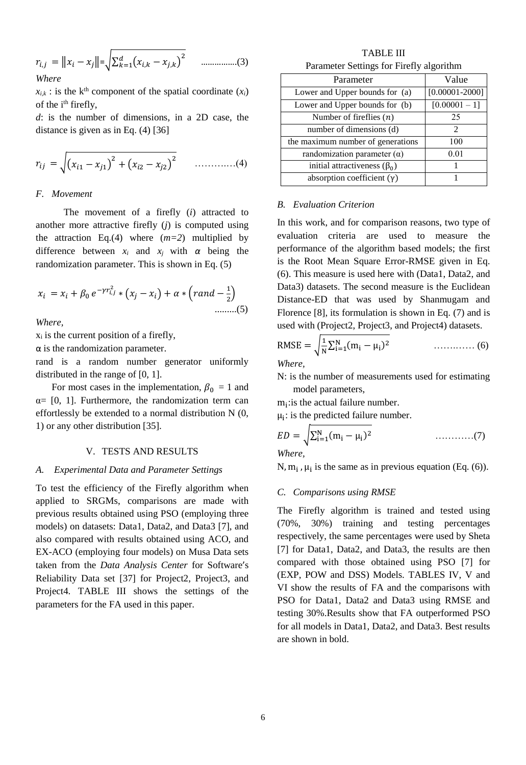$$
r_{i,j} = ||x_i - x_j|| = \sqrt{\sum_{k=1}^{d} (x_{i,k} - x_{j,k})^2}
$$
 ....... (3)  
Where

 $x_{i,k}$ : is the k<sup>th</sup> component of the spatial coordinate  $(x_i)$ of the i<sup>th</sup> firefly,

*d*: is the number of dimensions, in a 2D case, the distance is given as in Eq. (4) [36]

$$
r_{ij} = \sqrt{(x_{i1} - x_{j1})^2 + (x_{i2} - x_{j2})^2} \qquad \dots \dots \dots \dots (4)
$$

#### *F. Movement*

The movement of a firefly (*i*) attracted to another more attractive firefly (*j*) is computed using the attraction Eq.(4) where  $(m=2)$  multiplied by difference between  $x_i$  and  $x_j$  with  $\alpha$  being the randomization parameter. This is shown in Eq. (5)

$$
x_i = x_i + \beta_0 e^{-\gamma r_{i,j}^2} * (x_j - x_i) + \alpha * (rand - \frac{1}{2})
$$
  
........(5)

*Where,*

 $x_i$  is the current position of a firefly,

 $\alpha$  is the randomization parameter.

rand is a random number generator uniformly distributed in the range of [0, 1].

For most cases in the implementation,  $\beta_0 = 1$  and  $\alpha = [0, 1]$ . Furthermore, the randomization term can effortlessly be extended to a normal distribution N (0, 1) or any other distribution [35].

#### V. TESTS AND RESULTS

#### *A. Experimental Data and Parameter Settings*

To test the efficiency of the Firefly algorithm when applied to SRGMs, comparisons are made with previous results obtained using PSO (employing three models) on datasets: Data1, Data2, and Data3 [7], and also compared with results obtained using ACO, and EX-ACO (employing four models) on Musa Data sets taken from the *Data Analysis Center* for Software's Reliability Data set [37] for Project2, Project3, and Project4. TABLE III shows the settings of the parameters for the FA used in this paper.

TABLE III Parameter Settings for Firefly algorithm

| Parameter                          | Value              |
|------------------------------------|--------------------|
| Lower and Upper bounds for (a)     | $[0.00001 - 2000]$ |
| Lower and Upper bounds for (b)     | $[0.00001 - 1]$    |
| Number of fireflies $(n)$          | 25                 |
| number of dimensions (d)           | 2                  |
| the maximum number of generations  | 100                |
| randomization parameter $(\alpha)$ | 0.01               |
| initial attractiveness $(\beta_0)$ |                    |
| absorption coefficient $(\gamma)$  |                    |

#### *B. Evaluation Criterion*

In this work, and for comparison reasons, two type of evaluation criteria are used to measure the performance of the algorithm based models; the first is the Root Mean Square Error-RMSE given in Eq. (6). This measure is used here with (Data1, Data2, and Data3) datasets. The second measure is the Euclidean Distance-ED that was used by Shanmugam and Florence [8], its formulation is shown in Eq. (7) and is used with (Project2, Project3, and Project4) datasets.

RMSE = 
$$
\sqrt{\frac{1}{N} \sum_{i=1}^{N} (m_i - \mu_i)^2}
$$
 (6)

*Where,*

N: is the number of measurements used for estimating model parameters,

 $m_i$ : is the actual failure number.

 $\mu_i$ : is the predicted failure number.

$$
ED = \sqrt{\sum_{i=1}^{N} (m_i - \mu_i)^2}
$$
 (7)

*Where,*

N,  $m_i$ ,  $\mu_i$  is the same as in previous equation (Eq. (6)).

#### *C. Comparisons using RMSE*

The Firefly algorithm is trained and tested using (70%, 30%) training and testing percentages respectively, the same percentages were used by Sheta [7] for Data1, Data2, and Data3, the results are then compared with those obtained using PSO [7] for (EXP, POW and DSS) Models. TABLES IV, V and VI show the results of FA and the comparisons with PSO for Data1, Data2 and Data3 using RMSE and testing 30%.Results show that FA outperformed PSO for all models in Data1, Data2, and Data3. Best results are shown in bold.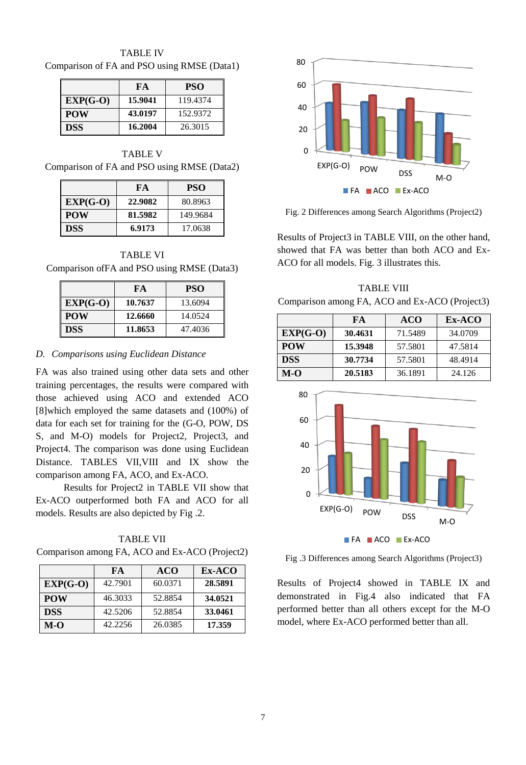TABLE IV Comparison of FA and PSO using RMSE (Data1)

|            | FA      | <b>PSO</b> |
|------------|---------|------------|
| $EXP(G-O)$ | 15.9041 | 119.4374   |
| <b>POW</b> | 43.0197 | 152.9372   |
| <b>DSS</b> | 16.2004 | 26.3015    |

TABLE V Comparison of FA and PSO using RMSE (Data2)

|            | FA      | <b>PSO</b> |
|------------|---------|------------|
| $EXP(G-O)$ | 22.9082 | 80.8963    |
| l POW      | 81.5982 | 149.9684   |
| l DSS      | 6.9173  | 17.0638    |

TABLE VI Comparison ofFA and PSO using RMSE (Data3)

|            | FA      | <b>PSO</b> |
|------------|---------|------------|
| $EXP(G-O)$ | 10.7637 | 13.6094    |
| <b>POW</b> | 12.6660 | 14.0524    |
| <b>DSS</b> | 11.8653 | 47.4036    |

#### *D. Comparisons using Euclidean Distance*

FA was also trained using other data sets and other training percentages, the results were compared with those achieved using ACO and extended ACO [8]which employed the same datasets and (100%) of data for each set for training for the (G-O, POW, DS S, and M-O) models for Project2, Project3, and Project4. The comparison was done using Euclidean Distance. TABLES VII,VIII and IX show the comparison among FA, ACO, and Ex-ACO.

Results for Project2 in TABLE VII show that Ex-ACO outperformed both FA and ACO for all models. Results are also depicted by Fig .2.

TABLE VII Comparison among FA, ACO and Ex-ACO (Project2)

|            | FA      | <b>ACO</b> | Ex-ACO  |
|------------|---------|------------|---------|
| $EXP(G-O)$ | 42.7901 | 60.0371    | 28.5891 |
| <b>POW</b> | 46.3033 | 52.8854    | 34.0521 |
| <b>DSS</b> | 42.5206 | 52.8854    | 33.0461 |
| $M-O$      | 42.2256 | 26.0385    | 17.359  |



Fig. 2 Differences among Search Algorithms (Project2)

Results of Project3 in TABLE VIII, on the other hand, showed that FA was better than both ACO and Ex-ACO for all models. Fig. 3 illustrates this.

TABLE VIII Comparison among FA, ACO and Ex-ACO (Project3)

|            | FA      | <b>ACO</b> | Ex-ACO  |
|------------|---------|------------|---------|
| $EXP(G-O)$ | 30.4631 | 71.5489    | 34.0709 |
| <b>POW</b> | 15.3948 | 57.5801    | 47.5814 |
| <b>DSS</b> | 30.7734 | 57.5801    | 48.4914 |
| M-O        | 20.5183 | 36.1891    | 24.126  |



Fig .3 Differences among Search Algorithms (Project3)

Results of Project4 showed in TABLE IX and demonstrated in Fig.4 also indicated that FA performed better than all others except for the M-O model, where Ex-ACO performed better than all.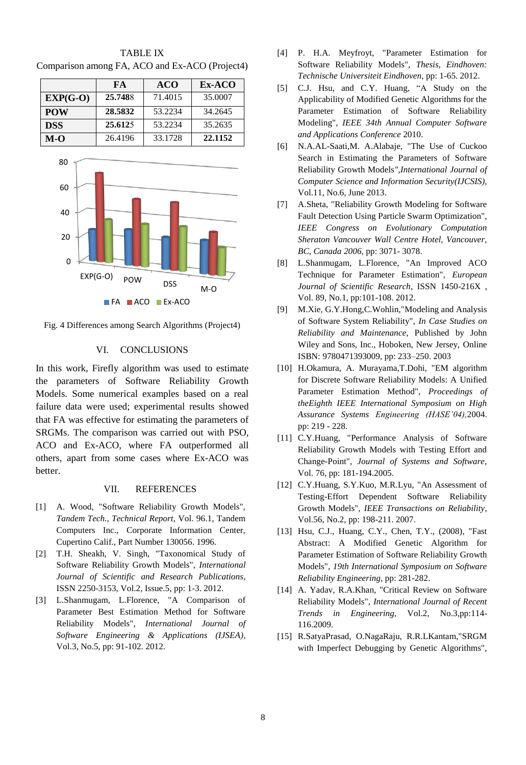|            | FA      | <b>ACO</b> | $Ex-ACO$ |
|------------|---------|------------|----------|
| $EXP(G-O)$ | 25.7488 | 71.4015    | 35,0007  |
| <b>POW</b> | 28.5832 | 53.2234    | 34.2645  |
| <b>DSS</b> | 25.6125 | 53.2234    | 35.2635  |
| $M-O$      | 26.4196 | 33.1728    | 22.1152  |

TABLE IX Comparison among FA, ACO and Ex-ACO (Project4)



Fig. 4 Differences among Search Algorithms (Project4)

# VI. CONCLUSIONS

In this work, Firefly algorithm was used to estimate the parameters of Software Reliability Growth Models. Some numerical examples based on a real failure data were used; experimental results showed that FA was effective for estimating the parameters of SRGMs. The comparison was carried out with PSO, ACO and Ex-ACO, where FA outperformed all others, apart from some cases where Ex-ACO was better.

## VII. REFERENCES

- [1] A. Wood, "Software Reliability Growth Models", *Tandem Tech., Technical Report*, Vol. 96.1, Tandem Computers Inc., Corporate Information Center, Cupertino Calif., Part Number 130056. 1996.
- [2] T.H. Sheakh, V. Singh, "Taxonomical Study of Software Reliability Growth Models", *International Journal of Scientific and Research Publications*, ISSN 2250-3153, Vol.2, Issue.5, pp: 1-3. 2012.
- [3] L.Shanmugam, L.Florence, "A Comparison of Parameter Best Estimation Method for Software Reliability Models", *International Journal of Software Engineering & Applications (IJSEA)*, Vol.3, No.5, pp: 91-102. 2012.
- [4] P. H.A. Meyfroyt, "Parameter Estimation for Software Reliability Models", *Thesis, Eindhoven: Technische Universiteit Eindhoven*, pp: 1-65. 2012.
- [5] C.J. Hsu, and C.Y. Huang, "A Study on the Applicability of Modified Genetic Algorithms for the Parameter Estimation of Software Reliability Modeling", *IEEE 34th Annual Computer Software and Applications Conference* 2010.
- [6] N.A.AL-Saati,M. A.Alabaje, "The Use of Cuckoo Search in Estimating the Parameters of Software Reliability Growth Models*",International Journal of Computer Science and Information Security(IJCSIS),* Vol.11, No.6, June 2013.
- [7] A.Sheta, "Reliability Growth Modeling for Software Fault Detection Using Particle Swarm Optimization", *IEEE Congress on Evolutionary Computation Sheraton Vancouver Wall Centre Hotel, Vancouver, BC, Canada 2006*, pp: 3071- 3078.
- [8] L.Shanmugam, L.Florence, "An Improved ACO Technique for Parameter Estimation", *European Journal of Scientific Research*, ISSN 1450-216X , Vol. 89, No.1, pp:101-108. 2012.
- [9] M.Xie, G.Y.Hong,C.Wohlin,"Modeling and Analysis of Software System Reliability", *In Case Studies on Reliability and Maintenance*, Published by John Wiley and Sons, Inc., Hoboken, New Jersey, Online ISBN: 9780471393009, pp: 233–250. 2003
- [10] H.Okamura, A. Murayama,T.Dohi, "EM algorithm for Discrete Software Reliability Models: A Unified Parameter Estimation Method", *Proceedings of theEighth IEEE International Symposium on High Assurance Systems Engineering (HASE'04),*2004. pp: 219 - 228.
- [11] C.Y.Huang, "Performance Analysis of Software Reliability Growth Models with Testing Effort and Change-Point", *Journal of Systems and Software*, Vol. 76, pp: 181-194.2005.
- [12] C.Y.Huang, S.Y.Kuo, M.R.Lyu, "An Assessment of Testing-Effort Dependent Software Reliability Growth Models", *IEEE Transactions on Reliability*, Vol.56, No.2, pp: 198-211. 2007.
- [13] Hsu, C.J., Huang, C.Y., Chen, T.Y., (2008), "Fast Abstract: A Modified Genetic Algorithm for Parameter Estimation of Software Reliability Growth Models", *19th International Symposium on Software Reliability Engineering*, pp: 281-282.
- [14] A. Yadav, R.A.Khan, "Critical Review on Software Reliability Models", *International Journal of Recent Trends in Engineering*, Vol.2, No.3,pp:114- 116.2009.
- [15] R.SatyaPrasad, O.NagaRaju, R.R.LKantam,"SRGM with Imperfect Debugging by Genetic Algorithms",